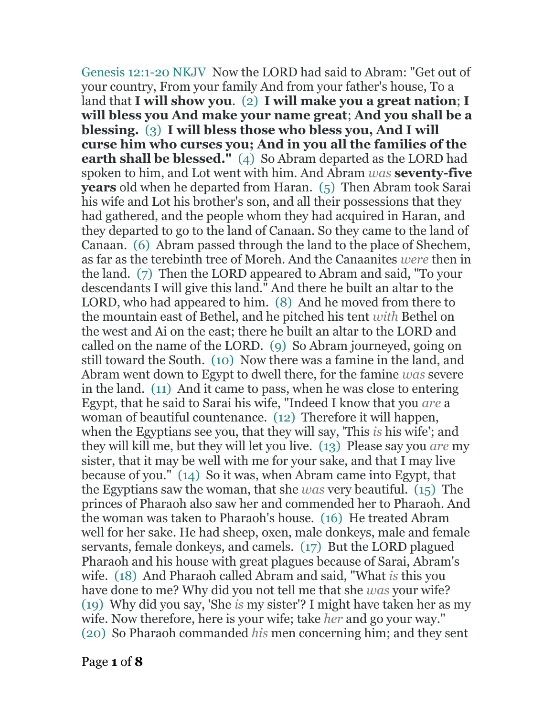Genesis 12:1-20 NKJV Now the LORD had said to Abram: "Get out of your country, From your family And from your father's house, To a land that **I will show you**. (2) **I will make you a great nation**; **I will bless you And make your name great**; **And you shall be a blessing.** (3) **I will bless those who bless you, And I will curse him who curses you; And in you all the families of the earth shall be blessed."** (4) So Abram departed as the LORD had spoken to him, and Lot went with him. And Abram *was* **seventy-five years** old when he departed from Haran. (5) Then Abram took Sarai his wife and Lot his brother's son, and all their possessions that they had gathered, and the people whom they had acquired in Haran, and they departed to go to the land of Canaan. So they came to the land of Canaan. (6) Abram passed through the land to the place of Shechem, as far as the terebinth tree of Moreh. And the Canaanites *were* then in the land. (7) Then the LORD appeared to Abram and said, "To your descendants I will give this land." And there he built an altar to the LORD, who had appeared to him. (8) And he moved from there to the mountain east of Bethel, and he pitched his tent *with* Bethel on the west and Ai on the east; there he built an altar to the LORD and called on the name of the LORD. (9) So Abram journeyed, going on still toward the South. (10) Now there was a famine in the land, and Abram went down to Egypt to dwell there, for the famine *was* severe in the land. (11) And it came to pass, when he was close to entering Egypt, that he said to Sarai his wife, "Indeed I know that you *are* a woman of beautiful countenance. (12) Therefore it will happen, when the Egyptians see you, that they will say, 'This *is* his wife'; and they will kill me, but they will let you live. (13) Please say you *are* my sister, that it may be well with me for your sake, and that I may live because of you." (14) So it was, when Abram came into Egypt, that the Egyptians saw the woman, that she *was* very beautiful. (15) The princes of Pharaoh also saw her and commended her to Pharaoh. And the woman was taken to Pharaoh's house. (16) He treated Abram well for her sake. He had sheep, oxen, male donkeys, male and female servants, female donkeys, and camels. (17) But the LORD plagued Pharaoh and his house with great plagues because of Sarai, Abram's wife. (18) And Pharaoh called Abram and said, "What *is* this you have done to me? Why did you not tell me that she *was* your wife? (19) Why did you say, 'She *is* my sister'? I might have taken her as my wife. Now therefore, here is your wife; take *her* and go your way." (20) So Pharaoh commanded *his* men concerning him; and they sent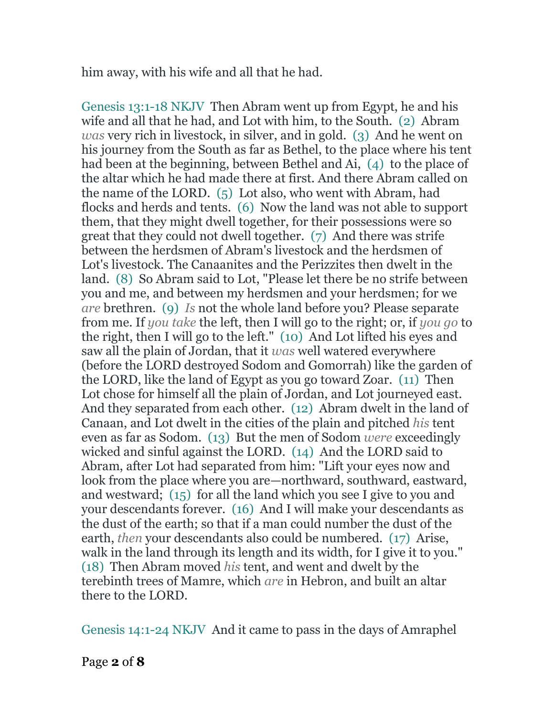him away, with his wife and all that he had.

Genesis 13:1-18 NKJV Then Abram went up from Egypt, he and his wife and all that he had, and Lot with him, to the South. (2) Abram *was* very rich in livestock, in silver, and in gold. (3) And he went on his journey from the South as far as Bethel, to the place where his tent had been at the beginning, between Bethel and Ai, (4) to the place of the altar which he had made there at first. And there Abram called on the name of the LORD. (5) Lot also, who went with Abram, had flocks and herds and tents. (6) Now the land was not able to support them, that they might dwell together, for their possessions were so great that they could not dwell together. (7) And there was strife between the herdsmen of Abram's livestock and the herdsmen of Lot's livestock. The Canaanites and the Perizzites then dwelt in the land. (8) So Abram said to Lot, "Please let there be no strife between you and me, and between my herdsmen and your herdsmen; for we *are* brethren. (9) *Is* not the whole land before you? Please separate from me. If *you take* the left, then I will go to the right; or, if *you go* to the right, then I will go to the left." (10) And Lot lifted his eyes and saw all the plain of Jordan, that it *was* well watered everywhere (before the LORD destroyed Sodom and Gomorrah) like the garden of the LORD, like the land of Egypt as you go toward Zoar. (11) Then Lot chose for himself all the plain of Jordan, and Lot journeyed east. And they separated from each other. (12) Abram dwelt in the land of Canaan, and Lot dwelt in the cities of the plain and pitched *his* tent even as far as Sodom. (13) But the men of Sodom *were* exceedingly wicked and sinful against the LORD. (14) And the LORD said to Abram, after Lot had separated from him: "Lift your eyes now and look from the place where you are—northward, southward, eastward, and westward; (15) for all the land which you see I give to you and your descendants forever. (16) And I will make your descendants as the dust of the earth; so that if a man could number the dust of the earth, *then* your descendants also could be numbered. (17) Arise, walk in the land through its length and its width, for I give it to you." (18) Then Abram moved *his* tent, and went and dwelt by the terebinth trees of Mamre, which *are* in Hebron, and built an altar there to the LORD.

Genesis 14:1-24 NKJV And it came to pass in the days of Amraphel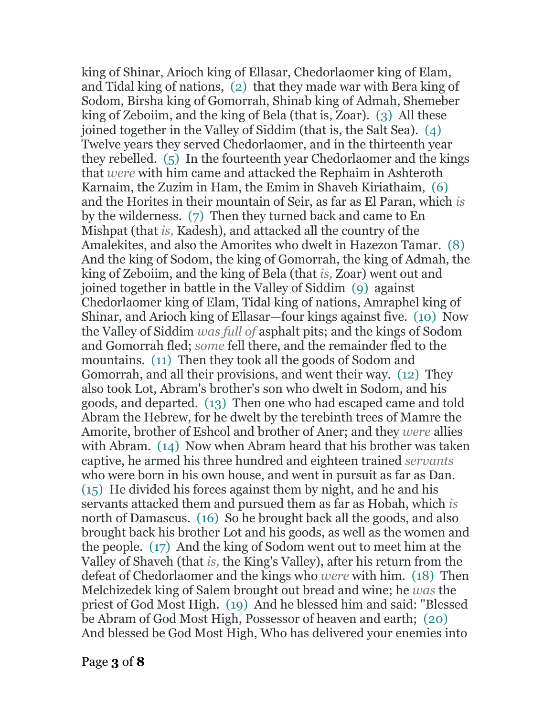king of Shinar, Arioch king of Ellasar, Chedorlaomer king of Elam, and Tidal king of nations, (2) that they made war with Bera king of Sodom, Birsha king of Gomorrah, Shinab king of Admah, Shemeber king of Zeboiim, and the king of Bela (that is, Zoar). (3) All these joined together in the Valley of Siddim (that is, the Salt Sea). (4) Twelve years they served Chedorlaomer, and in the thirteenth year they rebelled. (5) In the fourteenth year Chedorlaomer and the kings that *were* with him came and attacked the Rephaim in Ashteroth Karnaim, the Zuzim in Ham, the Emim in Shaveh Kiriathaim, (6) and the Horites in their mountain of Seir, as far as El Paran, which *is* by the wilderness. (7) Then they turned back and came to En Mishpat (that *is,* Kadesh), and attacked all the country of the Amalekites, and also the Amorites who dwelt in Hazezon Tamar. (8) And the king of Sodom, the king of Gomorrah, the king of Admah, the king of Zeboiim, and the king of Bela (that *is,* Zoar) went out and joined together in battle in the Valley of Siddim (9) against Chedorlaomer king of Elam, Tidal king of nations, Amraphel king of Shinar, and Arioch king of Ellasar—four kings against five. (10) Now the Valley of Siddim *was full of* asphalt pits; and the kings of Sodom and Gomorrah fled; *some* fell there, and the remainder fled to the mountains. (11) Then they took all the goods of Sodom and Gomorrah, and all their provisions, and went their way. (12) They also took Lot, Abram's brother's son who dwelt in Sodom, and his goods, and departed. (13) Then one who had escaped came and told Abram the Hebrew, for he dwelt by the terebinth trees of Mamre the Amorite, brother of Eshcol and brother of Aner; and they *were* allies with Abram. (14) Now when Abram heard that his brother was taken captive, he armed his three hundred and eighteen trained *servants* who were born in his own house, and went in pursuit as far as Dan. (15) He divided his forces against them by night, and he and his servants attacked them and pursued them as far as Hobah, which *is* north of Damascus. (16) So he brought back all the goods, and also brought back his brother Lot and his goods, as well as the women and the people. (17) And the king of Sodom went out to meet him at the Valley of Shaveh (that *is,* the King's Valley), after his return from the defeat of Chedorlaomer and the kings who *were* with him. (18) Then Melchizedek king of Salem brought out bread and wine; he *was* the priest of God Most High. (19) And he blessed him and said: "Blessed be Abram of God Most High, Possessor of heaven and earth; (20) And blessed be God Most High, Who has delivered your enemies into

Page **3** of **8**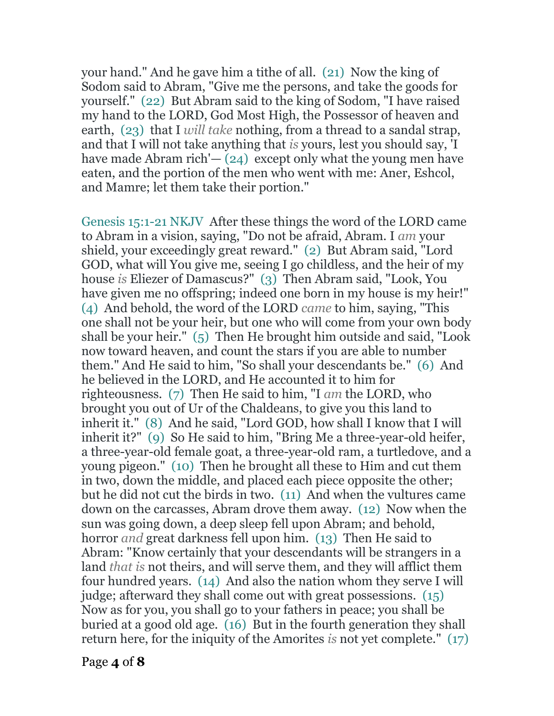your hand." And he gave him a tithe of all. (21) Now the king of Sodom said to Abram, "Give me the persons, and take the goods for yourself." (22) But Abram said to the king of Sodom, "I have raised my hand to the LORD, God Most High, the Possessor of heaven and earth, (23) that I *will take* nothing, from a thread to a sandal strap, and that I will not take anything that *is* yours, lest you should say, 'I have made Abram rich' $-$  (24) except only what the young men have eaten, and the portion of the men who went with me: Aner, Eshcol, and Mamre; let them take their portion."

Genesis 15:1-21 NKJV After these things the word of the LORD came to Abram in a vision, saying, "Do not be afraid, Abram. I *am* your shield, your exceedingly great reward." (2) But Abram said, "Lord GOD, what will You give me, seeing I go childless, and the heir of my house *is* Eliezer of Damascus?" (3) Then Abram said, "Look, You have given me no offspring; indeed one born in my house is my heir!" (4) And behold, the word of the LORD *came* to him, saying, "This one shall not be your heir, but one who will come from your own body shall be your heir." (5) Then He brought him outside and said, "Look now toward heaven, and count the stars if you are able to number them." And He said to him, "So shall your descendants be." (6) And he believed in the LORD, and He accounted it to him for righteousness. (7) Then He said to him, "I *am* the LORD, who brought you out of Ur of the Chaldeans, to give you this land to inherit it." (8) And he said, "Lord GOD, how shall I know that I will inherit it?" (9) So He said to him, "Bring Me a three-year-old heifer, a three-year-old female goat, a three-year-old ram, a turtledove, and a young pigeon." (10) Then he brought all these to Him and cut them in two, down the middle, and placed each piece opposite the other; but he did not cut the birds in two. (11) And when the vultures came down on the carcasses, Abram drove them away. (12) Now when the sun was going down, a deep sleep fell upon Abram; and behold, horror *and* great darkness fell upon him. (13) Then He said to Abram: "Know certainly that your descendants will be strangers in a land *that is* not theirs, and will serve them, and they will afflict them four hundred years. (14) And also the nation whom they serve I will judge; afterward they shall come out with great possessions. (15) Now as for you, you shall go to your fathers in peace; you shall be buried at a good old age. (16) But in the fourth generation they shall return here, for the iniquity of the Amorites *is* not yet complete." (17)

Page **4** of **8**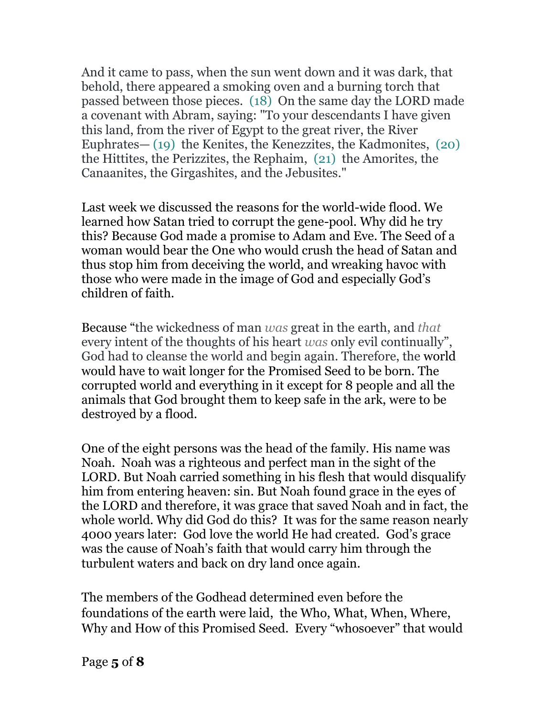And it came to pass, when the sun went down and it was dark, that behold, there appeared a smoking oven and a burning torch that passed between those pieces. (18) On the same day the LORD made a covenant with Abram, saying: "To your descendants I have given this land, from the river of Egypt to the great river, the River Euphrates— (19) the Kenites, the Kenezzites, the Kadmonites, (20) the Hittites, the Perizzites, the Rephaim, (21) the Amorites, the Canaanites, the Girgashites, and the Jebusites."

Last week we discussed the reasons for the world-wide flood. We learned how Satan tried to corrupt the gene-pool. Why did he try this? Because God made a promise to Adam and Eve. The Seed of a woman would bear the One who would crush the head of Satan and thus stop him from deceiving the world, and wreaking havoc with those who were made in the image of God and especially God's children of faith.

Because "the wickedness of man *was* great in the earth, and *that* every intent of the thoughts of his heart *was* only evil continually", God had to cleanse the world and begin again. Therefore, the world would have to wait longer for the Promised Seed to be born. The corrupted world and everything in it except for 8 people and all the animals that God brought them to keep safe in the ark, were to be destroyed by a flood.

One of the eight persons was the head of the family. His name was Noah. Noah was a righteous and perfect man in the sight of the LORD. But Noah carried something in his flesh that would disqualify him from entering heaven: sin. But Noah found grace in the eyes of the LORD and therefore, it was grace that saved Noah and in fact, the whole world. Why did God do this? It was for the same reason nearly 4000 years later: God love the world He had created. God's grace was the cause of Noah's faith that would carry him through the turbulent waters and back on dry land once again.

The members of the Godhead determined even before the foundations of the earth were laid, the Who, What, When, Where, Why and How of this Promised Seed. Every "whosoever" that would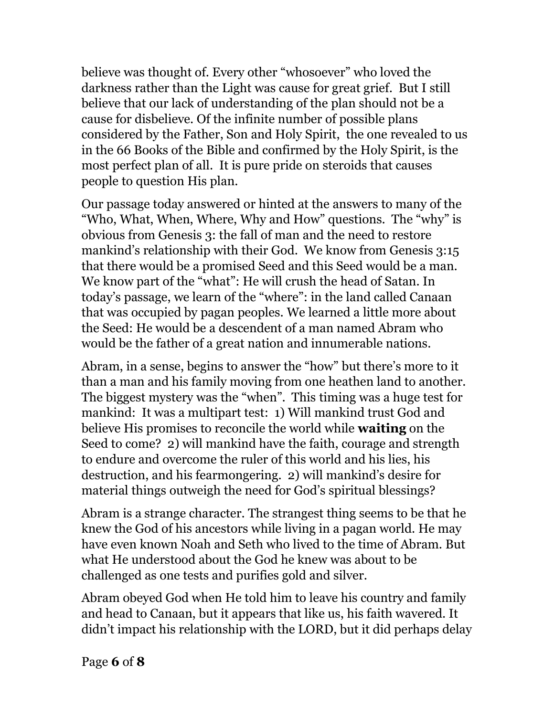believe was thought of. Every other "whosoever" who loved the darkness rather than the Light was cause for great grief. But I still believe that our lack of understanding of the plan should not be a cause for disbelieve. Of the infinite number of possible plans considered by the Father, Son and Holy Spirit, the one revealed to us in the 66 Books of the Bible and confirmed by the Holy Spirit, is the most perfect plan of all. It is pure pride on steroids that causes people to question His plan.

Our passage today answered or hinted at the answers to many of the "Who, What, When, Where, Why and How" questions. The "why" is obvious from Genesis 3: the fall of man and the need to restore mankind's relationship with their God. We know from Genesis 3:15 that there would be a promised Seed and this Seed would be a man. We know part of the "what": He will crush the head of Satan. In today's passage, we learn of the "where": in the land called Canaan that was occupied by pagan peoples. We learned a little more about the Seed: He would be a descendent of a man named Abram who would be the father of a great nation and innumerable nations.

Abram, in a sense, begins to answer the "how" but there's more to it than a man and his family moving from one heathen land to another. The biggest mystery was the "when". This timing was a huge test for mankind: It was a multipart test: 1) Will mankind trust God and believe His promises to reconcile the world while **waiting** on the Seed to come? 2) will mankind have the faith, courage and strength to endure and overcome the ruler of this world and his lies, his destruction, and his fearmongering. 2) will mankind's desire for material things outweigh the need for God's spiritual blessings?

Abram is a strange character. The strangest thing seems to be that he knew the God of his ancestors while living in a pagan world. He may have even known Noah and Seth who lived to the time of Abram. But what He understood about the God he knew was about to be challenged as one tests and purifies gold and silver.

Abram obeyed God when He told him to leave his country and family and head to Canaan, but it appears that like us, his faith wavered. It didn't impact his relationship with the LORD, but it did perhaps delay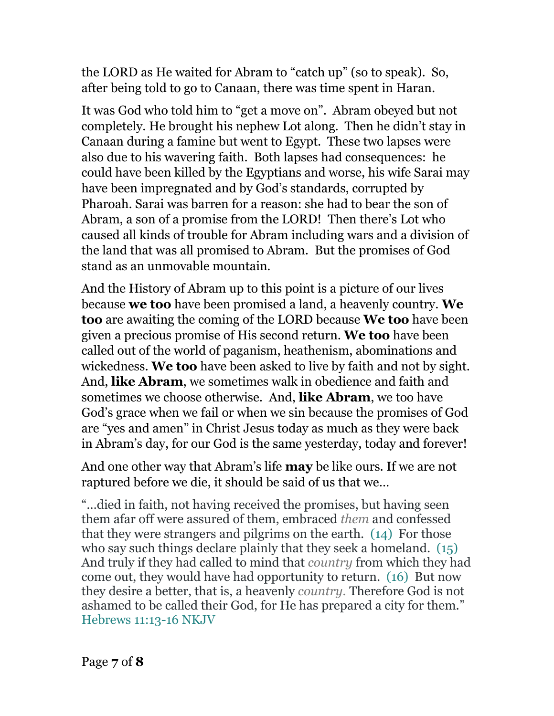the LORD as He waited for Abram to "catch up" (so to speak). So, after being told to go to Canaan, there was time spent in Haran.

It was God who told him to "get a move on". Abram obeyed but not completely. He brought his nephew Lot along. Then he didn't stay in Canaan during a famine but went to Egypt. These two lapses were also due to his wavering faith. Both lapses had consequences: he could have been killed by the Egyptians and worse, his wife Sarai may have been impregnated and by God's standards, corrupted by Pharoah. Sarai was barren for a reason: she had to bear the son of Abram, a son of a promise from the LORD! Then there's Lot who caused all kinds of trouble for Abram including wars and a division of the land that was all promised to Abram. But the promises of God stand as an unmovable mountain.

And the History of Abram up to this point is a picture of our lives because **we too** have been promised a land, a heavenly country. **We too** are awaiting the coming of the LORD because **We too** have been given a precious promise of His second return. **We too** have been called out of the world of paganism, heathenism, abominations and wickedness. **We too** have been asked to live by faith and not by sight. And, **like Abram**, we sometimes walk in obedience and faith and sometimes we choose otherwise. And, **like Abram**, we too have God's grace when we fail or when we sin because the promises of God are "yes and amen" in Christ Jesus today as much as they were back in Abram's day, for our God is the same yesterday, today and forever!

And one other way that Abram's life **may** be like ours. If we are not raptured before we die, it should be said of us that we…

"…died in faith, not having received the promises, but having seen them afar off were assured of them, embraced *them* and confessed that they were strangers and pilgrims on the earth. (14) For those who say such things declare plainly that they seek a homeland. (15) And truly if they had called to mind that *country* from which they had come out, they would have had opportunity to return. (16) But now they desire a better, that is, a heavenly *country.* Therefore God is not ashamed to be called their God, for He has prepared a city for them." Hebrews 11:13-16 NKJV